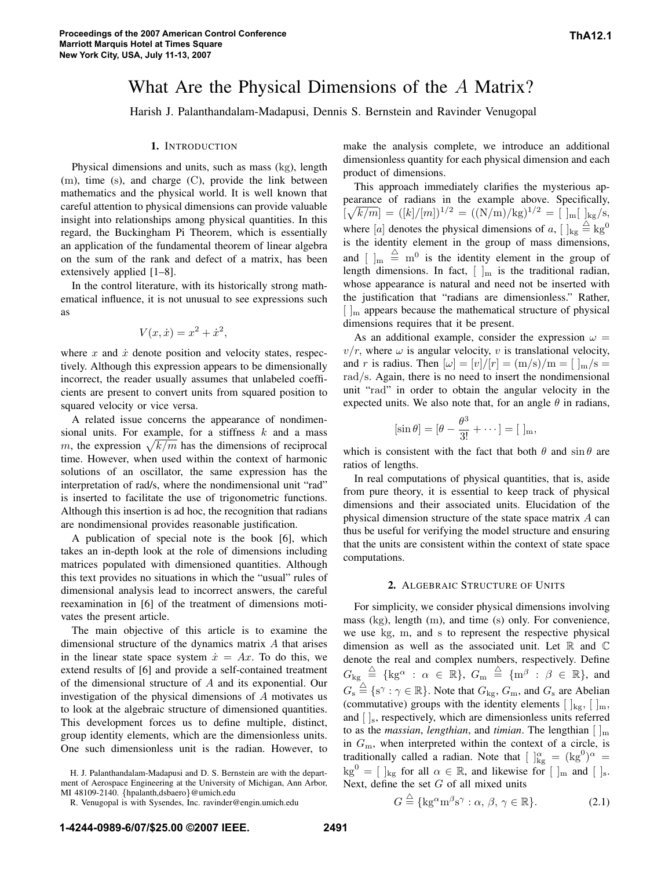# What Are the Physical Dimensions of the A Matrix?

Harish J. Palanthandalam-Madapusi, Dennis S. Bernstein and Ravinder Venugopal

#### **1.** INTRODUCTION

Physical dimensions and units, such as mass (kg), length (m), time (s), and charge (C), provide the link between mathematics and the physical world. It is well known that careful attention to physical dimensions can provide valuable insight into relationships among physical quantities. In this regard, the Buckingham Pi Theorem, which is essentially an application of the fundamental theorem of linear algebra on the sum of the rank and defect of a matrix, has been extensively applied [1–8].

In the control literature, with its historically strong mathematical influence, it is not unusual to see expressions such as

$$
V(x, \dot{x}) = x^2 + \dot{x}^2,
$$

where x and  $\dot{x}$  denote position and velocity states, respectively. Although this expression appears to be dimensionally incorrect, the reader usually assumes that unlabeled coefficients are present to convert units from squared position to squared velocity or vice versa.

A related issue concerns the appearance of nondimensional units. For example, for a stiffness  $k$  and a mass m, the expression  $\sqrt{k/m}$  has the dimensions of reciprocal time. However, when used within the context of harmonic solutions of an oscillator, the same expression has the interpretation of rad/s, where the nondimensional unit "rad" is inserted to facilitate the use of trigonometric functions. Although this insertion is ad hoc, the recognition that radians are nondimensional provides reasonable justification.

A publication of special note is the book [6], which takes an in-depth look at the role of dimensions including matrices populated with dimensioned quantities. Although this text provides no situations in which the "usual" rules of dimensional analysis lead to incorrect answers, the careful reexamination in [6] of the treatment of dimensions motivates the present article.

The main objective of this article is to examine the dimensional structure of the dynamics matrix A that arises in the linear state space system  $\dot{x} = Ax$ . To do this, we extend results of [6] and provide a self-contained treatment of the dimensional structure of A and its exponential. Our investigation of the physical dimensions of A motivates us to look at the algebraic structure of dimensioned quantities. This development forces us to define multiple, distinct, group identity elements, which are the dimensionless units. One such dimensionless unit is the radian. However, to

H. J. Palanthandalam-Madapusi and D. S. Bernstein are with the department of Aerospace Engineering at the University of Michigan, Ann Arbor, MI 48109-2140. {hpalanth,dsbaero}@umich.edu

make the analysis complete, we introduce an additional dimensionless quantity for each physical dimension and each product of dimensions.

This approach immediately clarifies the mysterious appearance of radians in the example above. Specifically,  $\left[\sqrt{k/m}\right] = (\frac{k}{m})^{1/2} = (\frac{N}{m})^{1/2} = [\frac{1}{m} \left[\frac{kg}{s}\right],$ where [a] denotes the physical dimensions of a,  $[ \;]_{\text{kg}} \stackrel{\triangle}{=} \text{kg}^0$ is the identity element in the group of mass dimensions, and  $\left[\right]_{m} \stackrel{\triangle}{=} m^{0}$  is the identity element in the group of length dimensions. In fact,  $[\ ]_m$  is the traditional radian, whose appearance is natural and need not be inserted with the justification that "radians are dimensionless." Rather,  $\lceil \cdot \rceil_{\text{m}}$  appears because the mathematical structure of physical dimensions requires that it be present.

As an additional example, consider the expression  $\omega =$  $v/r$ , where  $\omega$  is angular velocity, v is translational velocity, and r is radius. Then  $[\omega] = [v]/[r] = (m/s)/m = [\,]_m/s =$ rad/s. Again, there is no need to insert the nondimensional unit "rad" in order to obtain the angular velocity in the expected units. We also note that, for an angle  $\theta$  in radians,

$$
[\sin \theta] = [\theta - \frac{\theta^3}{3!} + \cdots] = [\ ]_{m},
$$

which is consistent with the fact that both  $\theta$  and  $\sin \theta$  are ratios of lengths.

In real computations of physical quantities, that is, aside from pure theory, it is essential to keep track of physical dimensions and their associated units. Elucidation of the physical dimension structure of the state space matrix A can thus be useful for verifying the model structure and ensuring that the units are consistent within the context of state space computations.

### **2.** ALGEBRAIC STRUCTURE OF UNITS

For simplicity, we consider physical dimensions involving mass (kg), length (m), and time (s) only. For convenience, we use kg, m, and s to represent the respective physical dimension as well as the associated unit. Let  $\mathbb R$  and  $\mathbb C$ denote the real and complex numbers, respectively. Define  $G_{\mathrm{kg}} \ \stackrel{\triangle}{=} \ \{\mathrm{kg}^\alpha \ : \ \alpha \ \in \ \mathbb{R}\}, \ G_{\mathrm{m}} \ \stackrel{\triangle}{=} \ \{\mathrm{m}^\beta \ : \ \beta \ \in \ \mathbb{R}\}, \ \mathrm{and}$  $G_s \stackrel{\triangle}{=} \{s^\gamma : \gamma \in \mathbb{R}\}.$  Note that  $G_{kg}, G_m$ , and  $G_s$  are Abelian (commutative) groups with the identity elements  $[\ ]_{\text{kg}}, [\ ]_{\text{m}},$ and  $\left[ \ \right]_s$ , respectively, which are dimensionless units referred to as the *massian*, *lengthian*, and *timian*. The lengthian  $\lceil \cdot \rceil_{\text{m}}$ in  $G<sub>m</sub>$ , when interpreted within the context of a circle, is traditionally called a radian. Note that  $\left[\right]_{\text{kg}}^{\alpha} = (\text{kg}^0)^{\alpha} =$  $\text{kg}^0 = [\;]_{\text{kg}}$  for all  $\alpha \in \mathbb{R}$ , and likewise for  $[\;]_{\text{m}}$  and  $[\;]_{\text{s}}$ . Next, define the set  $G$  of all mixed units

$$
G \stackrel{\triangle}{=} \{ \mathbf{k} \mathbf{g}^{\alpha} \mathbf{m}^{\beta} \mathbf{s}^{\gamma} : \alpha, \beta, \gamma \in \mathbb{R} \}. \tag{2.1}
$$

R. Venugopal is with Sysendes, Inc. ravinder@engin.umich.edu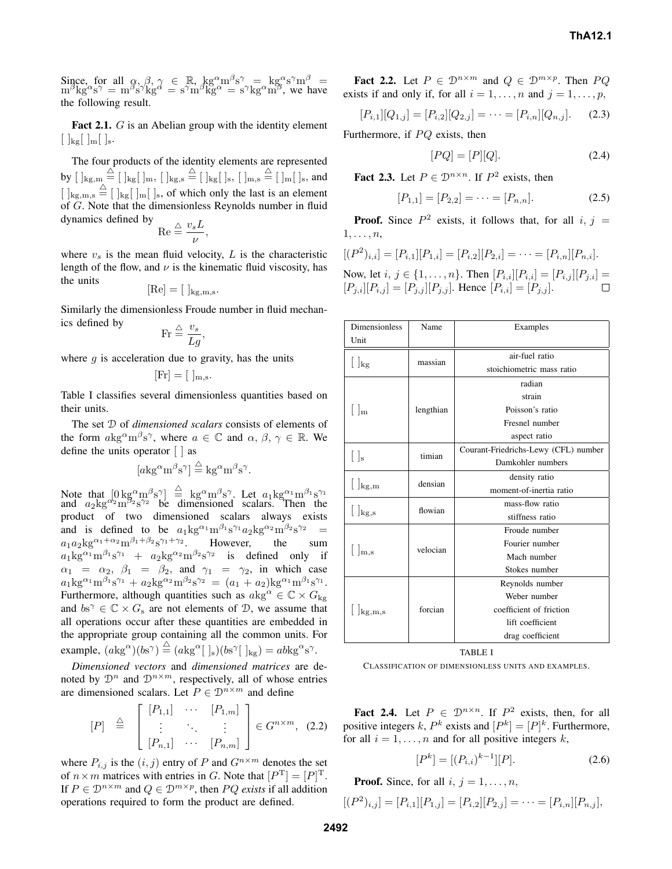Since, for all  $\alpha, \beta, \gamma \in \mathbb{R}$ ,  $\text{kg}^{\alpha} \text{m}^{\beta} \text{s}^{\gamma} = \text{kg}^{\alpha} \text{s}^{\gamma} \text{m}^{\beta}$  $m^{\beta}$ kg<sup> $\alpha$ </sup>s<sup> $\gamma$ </sup> =  $m^{\beta}$ s $\gamma$ kg $\alpha$ <sup>'</sup> = s<sup> $\gamma$ </sup>m $\beta$ kg $\alpha$ <sup>'</sup> = s $\gamma$ kg $\alpha$ m $\beta$ , we have the following result.

**Fact 2.1.** G is an Abelian group with the identity element  $\lfloor \, \frac{\log}{\log} \rfloor$   $\lfloor \, \frac{\log}{\log \log n} \rfloor$ 

The four products of the identity elements are represented by  $[ \;]_{\text{kg,m}} \stackrel{\triangle}{=} [ \;]_{\text{kg}} [\;]_{\text{m}}, \; [ \;]_{\text{kg,s}} \stackrel{\triangle}{=} [ \;]_{\text{kg}} [\;]_{\text{s}}, \; [ \;]_{\text{m,s}} \stackrel{\triangle}{=} [ \;]_{\text{m}} [\;]_{\text{s}}, \text{and}$  $[ ]_{\text{kg,m,s}} \stackrel{\triangle}{=} [ ]_{\text{kg}} [ ]_{\text{m}} [ ]_{\text{s}}$ , of which only the last is an element of G. Note that the dimensionless Reynolds number in fluid dynamics defined by  $\vartriangle$   $v_s L$ 

$$
\mathrm{Re}\stackrel{\triangle}{=}\frac{^{^{U}S^{\mathbf{L}}}}{\nu},
$$

where  $v<sub>s</sub>$  is the mean fluid velocity, L is the characteristic length of the flow, and  $\nu$  is the kinematic fluid viscosity, has the units

$$
[\text{Re}] = [\ ]_{\text{kg,m,s}}.
$$

Similarly the dimensionless Froude number in fluid mechanics defined by  $v_s$ 

$$
\text{Fr} \stackrel{\triangle}{=} \frac{v_s}{Lg},
$$

where  $q$  is acceleration due to gravity, has the units

$$
[\mathrm{Fr}] = [\ ]_{\mathrm{m},\mathrm{s}}.
$$

Table I classifies several dimensionless quantities based on their units.

The set D of *dimensioned scalars* consists of elements of the form  $\alpha$ kg<sup> $\alpha$ </sup>m $\beta$ s<sup> $\gamma$ </sup>, where  $\alpha \in \mathbb{C}$  and  $\alpha$ ,  $\beta$ ,  $\gamma \in \mathbb{R}$ . We define the units operator [ ] as

$$
[a\mathrm{kg}^{\alpha}\mathrm{m}^{\beta}\mathrm{s}^{\gamma}] \stackrel{\triangle}{=} \mathrm{kg}^{\alpha}\mathrm{m}^{\beta}\mathrm{s}^{\gamma}.
$$

Note that  $[0 \text{ kg}^{\alpha} \text{m}^{\beta} \text{s}^{\gamma}] \stackrel{\triangle}{=}$  kg<sup> $\alpha$ </sup>m<sup> $\beta$ </sup>s<sup> $\gamma$ </sup>. Let  $a_1$ kg $\alpha_1$ m $\beta_1$ s $\gamma_1$ and  $a_2$   $kg^{\alpha_2}$   $m^{\beta_2}$  s<sup> $\gamma_2$ </sup> be dimensioned scalars. Then the product of two dimensioned scalars always exists and is defined to be  $a_1 \text{kg}^{\alpha_1} \text{m}^{\beta_1} \text{s}^{\gamma_1} a_2 \text{kg}^{\alpha_2} \text{m}^{\beta_2} \text{s}^{\gamma_2} =$  $a_1 a_2$ kg<sup> $\alpha_1 + \alpha_2$ </sup>m $\beta_1 + \beta_2$ s $\gamma_1 + \gamma_2$ . However, the sum  $a_1$ kg<sup> $\alpha_1$ </sup>m $\beta_1$ s<sup> $\gamma_1$ </sup> +  $a_2$ kg<sup> $\alpha_2$ </sup>m $\beta_2$ s<sup> $\gamma_2$ </sup> is defined only if  $\alpha_1 = \alpha_2$ ,  $\beta_1 = \beta_2$ , and  $\gamma_1 = \gamma_2$ , in which case  $a_1$ kg<sup> $\alpha_1$ </sup>m<sup> $\beta_1$ </sup>s<sup> $\gamma_1$ </sup> +  $a_2$ kg<sup> $\alpha_2$ </sup>m<sup> $\beta_2$ </sup>s<sup> $\gamma_2$ </sup> =  $(a_1 + a_2)$ kg<sup> $\alpha_1$ </sup>m<sup> $\beta_1$ </sup>s $\gamma_1$ . Furthermore, although quantities such as  $akg^{\alpha} \in \mathbb{C} \times G_{kg}$ and  $bs^{\gamma} \in \mathbb{C} \times G_s$  are not elements of  $\mathcal{D}$ , we assume that all operations occur after these quantities are embedded in the appropriate group containing all the common units. For example,  $(a\text{kg}^{\alpha})(b\text{s}^{\gamma}) \stackrel{\triangle}{=} (a\text{kg}^{\alpha}[\;]_s)(b\text{s}^{\gamma}[\;]_{\text{kg}}) = ab\text{kg}^{\alpha}\text{s}^{\gamma}.$ 

*Dimensioned vectors* and *dimensioned matrices* are denoted by  $\mathcal{D}^n$  and  $\mathcal{D}^{n \times m}$ , respectively, all of whose entries are dimensioned scalars. Let  $P \in \mathcal{D}^{n \times m}$  and define

$$
[P] \triangleq \left[\begin{array}{ccc} [P_{1,1}] & \cdots & [P_{1,m}] \\ \vdots & \ddots & \vdots \\ [P_{n,1}] & \cdots & [P_{n,m}] \end{array}\right] \in G^{n \times m}, (2.2)
$$

where  $P_{i,j}$  is the  $(i, j)$  entry of P and  $G^{n \times m}$  denotes the set of  $n \times m$  matrices with entries in G. Note that  $[P^T] = [P]^T$ . If  $P \in \mathcal{D}^{n \times m}$  and  $Q \in \mathcal{D}^{m \times p}$ , then PQ *exists* if all addition operations required to form the product are defined.

**Fact 2.2.** Let  $P \in \mathcal{D}^{n \times m}$  and  $Q \in \mathcal{D}^{m \times p}$ . Then  $PQ$ exists if and only if, for all  $i = 1, \ldots, n$  and  $j = 1, \ldots, p$ ,

$$
[P_{i,1}][Q_{1,j}] = [P_{i,2}][Q_{2,j}] = \cdots = [P_{i,n}][Q_{n,j}].
$$
 (2.3)

Furthermore, if PQ exists, then

$$
[PQ] = [P][Q]. \tag{2.4}
$$

**Fact 2.3.** Let  $P \in \mathcal{D}^{n \times n}$ . If  $P^2$  exists, then

$$
[P_{1,1}] = [P_{2,2}] = \dots = [P_{n,n}]. \tag{2.5}
$$

**Proof.** Since  $P^2$  exists, it follows that, for all  $i, j =$  $1,\ldots,n$ ,

$$
[(P2)i,i] = [Pi,1][P1,i] = [Pi,2][P2,i] = \cdots = [Pi,n][Pn,i].
$$

Now, let  $i, j \in \{1, ..., n\}$ . Then  $[P_{i,i}][P_{i,i}] = [P_{i,j}][P_{j,i}] =$  $[P_{j,i}][P_{i,j}] = [P_{j,j}][P_{j,j}]$ . Hence  $[P_{i,i}] = [P_{j,j}]$ .  $\Box$ 

| <b>Dimensionless</b>         | Name      | Examples                             |
|------------------------------|-----------|--------------------------------------|
| Unit                         |           |                                      |
| $\lfloor \ \rfloor_{\rm kg}$ | massian   | air-fuel ratio                       |
|                              |           | stoichiometric mass ratio            |
| $\rm{Im}$                    | lengthian | radian                               |
|                              |           | strain                               |
|                              |           | Poisson's ratio                      |
|                              |           | Fresnel number                       |
|                              |           | aspect ratio                         |
| $\lfloor \cdot \rfloor$ s    | timian    | Courant-Friedrichs-Lewy (CFL) number |
|                              |           | Damkohler numbers                    |
| $\lfloor \int_{\log,m}$      | densian   | density ratio                        |
|                              |           | moment-of-inertia ratio              |
| $\lfloor \int_{\log,s}$      | flowian   | mass-flow ratio                      |
|                              |           | stiffness ratio                      |
| m,s                          | velocian  | Froude number                        |
|                              |           | Fourier number                       |
|                              |           | Mach number                          |
|                              |           | Stokes number                        |
| $\vert$ kg, m, s             | forcian   | Reynolds number                      |
|                              |           | Weber number                         |
|                              |           | coefficient of friction              |
|                              |           | lift coefficient                     |
|                              |           | drag coefficient                     |

TABLE I

CLASSIFICATION OF DIMENSIONLESS UNITS AND EXAMPLES.

**Fact 2.4.** Let  $P \in \mathcal{D}^{n \times n}$ . If  $P^2$  exists, then, for all positive integers k,  $P^k$  exists and  $[P^k] = [P]^k$ . Furthermore, for all  $i = 1, \ldots, n$  and for all positive integers k,

$$
[P^k] = [(P_{i,i})^{k-1}][P].
$$
\n(2.6)

**Proof.** Since, for all  $i, j = 1, \ldots, n$ ,

$$
[(P2)i,j] = [Pi,1][P1,j] = [Pi,2][P2,j] = \cdots = [Pi,n][Pn,j],
$$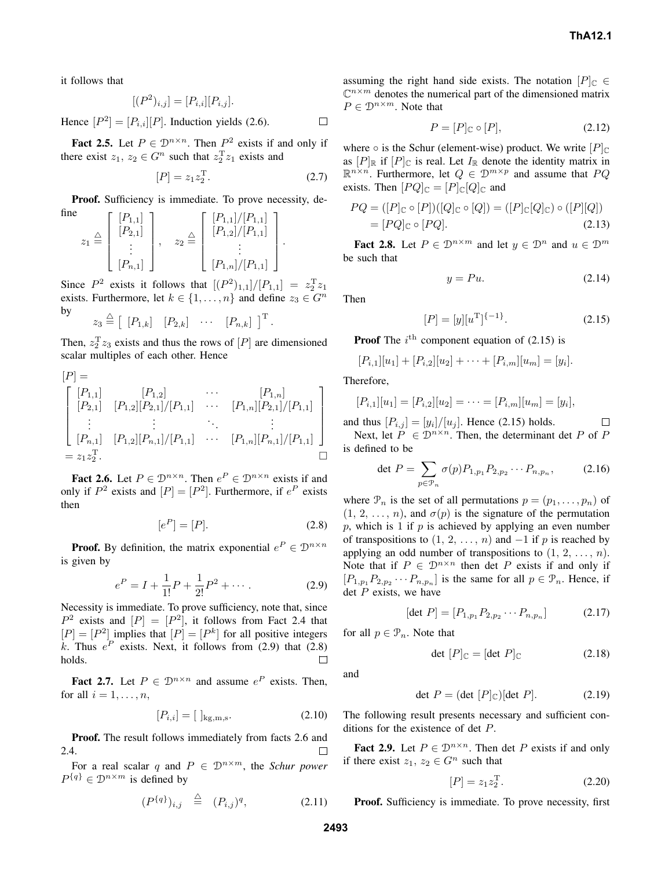it follows that

$$
[(P2)i,j] = [Pi,i][Pi,j].
$$

Hence  $[P^2] = [P_{i,i}][P]$ . Induction yields (2.6).  $\Box$ 

**Fact 2.5.** Let  $P \in \mathbb{D}^{n \times n}$ . Then  $P^2$  exists if and only if there exist  $z_1, z_2 \in G^n$  such that  $z_2^T z_1$  exists and

$$
[P] = z_1 z_2^{\rm T}.
$$
 (2.7)

**Proof.** Sufficiency is immediate. To prove necessity, define

$$
z_1 \stackrel{\triangle}{=} \begin{bmatrix} [P_{1,1}] \\ [P_{2,1}] \\ \vdots \\ [P_{n,1}] \end{bmatrix}, \quad z_2 \stackrel{\triangle}{=} \begin{bmatrix} [P_{1,1}]/[P_{1,1}] \\ [P_{1,2}]/[P_{1,1}] \\ \vdots \\ [P_{1,n}]/[P_{1,1}] \end{bmatrix}.
$$

Since  $P^2$  exists it follows that  $[(P^2)_{1,1}]/[P_{1,1}] = z_2^T z_1$ exists. Furthermore, let  $k \in \{1, ..., n\}$  and define  $z_3 \in G^n$ by

$$
z_3 \stackrel{\triangle}{=} \left[ \begin{array}{cc} [P_{1,k}] & [P_{2,k}] & \cdots & [P_{n,k}] \end{array} \right]^{\mathrm{T}}.
$$

Then,  $z_2^T z_3$  exists and thus the rows of  $[P]$  are dimensioned scalar multiples of each other. Hence

$$
[P] = \begin{bmatrix} [P_{1,1}] & [P_{1,2}] & \cdots & [P_{1,n}] \\ [P_{2,1}] & [P_{1,2}][P_{2,1}]/[P_{1,1}] & \cdots & [P_{1,n}][P_{2,1}]/[P_{1,1}] \\ \vdots & \vdots & \ddots & \vdots \\ [P_{n,1}] & [P_{1,2}][P_{n,1}]/[P_{1,1}] & \cdots & [P_{1,n}][P_{n,1}]/[P_{1,1}] \\ = z_1 z_2^{\mathrm{T}}. & \square \end{bmatrix}
$$

**Fact 2.6.** Let  $P \in \mathcal{D}^{n \times n}$ . Then  $e^P \in \mathcal{D}^{n \times n}$  exists if and only if  $P^2$  exists and  $[P] = [P^2]$ . Furthermore, if  $e^P$  exists then

$$
[e^P] = [P].\tag{2.8}
$$

**Proof.** By definition, the matrix exponential  $e^P \in \mathcal{D}^{n \times n}$ is given by

$$
e^{P} = I + \frac{1}{1!}P + \frac{1}{2!}P^{2} + \cdots
$$
 (2.9)

Necessity is immediate. To prove sufficiency, note that, since  $P^2$  exists and  $[P] = [P^2]$ , it follows from Fact 2.4 that  $[P] = [P<sup>2</sup>]$  implies that  $[P] = [P<sup>k</sup>]$  for all positive integers k. Thus  $e^P$  exists. Next, it follows from (2.9) that (2.8) holds.  $\Box$ 

**Fact 2.7.** Let  $P \in \mathbb{D}^{n \times n}$  and assume  $e^P$  exists. Then, for all  $i = 1, \ldots, n$ ,

$$
[P_{i,i}] = [\ ]_{\text{kg,m,s}}.\tag{2.10}
$$

**Proof.** The result follows immediately from facts 2.6 and 2.4.

For a real scalar q and  $P \in \mathcal{D}^{n \times m}$ , the *Schur power*  $P^{\{q\}} \in \mathcal{D}^{n \times m}$  is defined by

$$
(P^{\{q\}})_{i,j} \triangleq (P_{i,j})^q, \tag{2.11}
$$

assuming the right hand side exists. The notation  $[P]_C \in$  $\mathbb{C}^{n \times m}$  denotes the numerical part of the dimensioned matrix  $P \in \mathcal{D}^{n \times m}$ . Note that

$$
P = [P]_{\mathbb{C}} \circ [P],\tag{2.12}
$$

where  $\circ$  is the Schur (element-wise) product. We write  $[P]_{\mathbb{C}}$ as  $[P]_{\mathbb{R}}$  if  $[P]_{\mathbb{C}}$  is real. Let  $I_{\mathbb{R}}$  denote the identity matrix in  $\mathbb{R}^{n \times n}$ . Furthermore, let  $Q \in \mathcal{D}^{m \times p}$  and assume that  $PQ$ exists. Then  $[PQ]_{\mathbb{C}} = [P]_{\mathbb{C}}[Q]_{\mathbb{C}}$  and

$$
PQ = ([P]_{\mathbb{C}} \circ [P])([Q]_{\mathbb{C}} \circ [Q]) = ([P]_{\mathbb{C}}[Q]_{\mathbb{C}}) \circ ([P][Q])
$$
  
= [PQ]\_{\mathbb{C}} \circ [PQ]. (2.13)

**Fact 2.8.** Let  $P \in \mathcal{D}^{n \times m}$  and let  $y \in \mathcal{D}^n$  and  $u \in \mathcal{D}^m$ be such that

$$
y = Pu.
$$
 (2.14)

Then

$$
[P] = [y][uT]{-1}.
$$
 (2.15)

**Proof** The  $i^{\text{th}}$  component equation of (2.15) is

$$
[P_{i,1}][u_1] + [P_{i,2}][u_2] + \cdots + [P_{i,m}][u_m] = [y_i].
$$

Therefore,

$$
[P_{i,1}][u_1] = [P_{i,2}][u_2] = \cdots = [P_{i,m}][u_m] = [y_i],
$$

and thus  $[P_{i,j}] = [y_i]/[u_j]$ . Hence (2.15) holds.  $\Box$ Next, let  $P \in \mathcal{D}^{n \times n}$ . Then, the determinant det P of P is defined to be

$$
\det P = \sum_{p \in \mathcal{P}_n} \sigma(p) P_{1, p_1} P_{2, p_2} \cdots P_{n, p_n}, \tag{2.16}
$$

where  $\mathcal{P}_n$  is the set of all permutations  $p = (p_1, \ldots, p_n)$  of  $(1, 2, \ldots, n)$ , and  $\sigma(p)$  is the signature of the permutation p, which is 1 if p is achieved by applying an even number of transpositions to  $(1, 2, \ldots, n)$  and  $-1$  if p is reached by applying an odd number of transpositions to  $(1, 2, \ldots, n)$ . Note that if  $P \in \mathcal{D}^{n \times n}$  then det P exists if and only if  $[P_{1,p_1}P_{2,p_2}\cdots P_{n,p_n}]$  is the same for all  $p \in \mathcal{P}_n$ . Hence, if det  $P$  exists, we have

$$
[\det P] = [P_{1,p_1} P_{2,p_2} \cdots P_{n,p_n}] \tag{2.17}
$$

for all  $p \in \mathcal{P}_n$ . Note that

$$
\det [P]_{\mathbb{C}} = [\det P]_{\mathbb{C}} \tag{2.18}
$$

and

$$
\det P = (\det [P]_{\mathbb{C}})[\det P]. \tag{2.19}
$$

The following result presents necessary and sufficient conditions for the existence of det P.

**Fact 2.9.** Let  $P \in \mathcal{D}^{n \times n}$ . Then det P exists if and only if there exist  $z_1, z_2 \in G^n$  such that

$$
[P] = z_1 z_2^{\mathrm{T}}.
$$
 (2.20)

**Proof.** Sufficiency is immediate. To prove necessity, first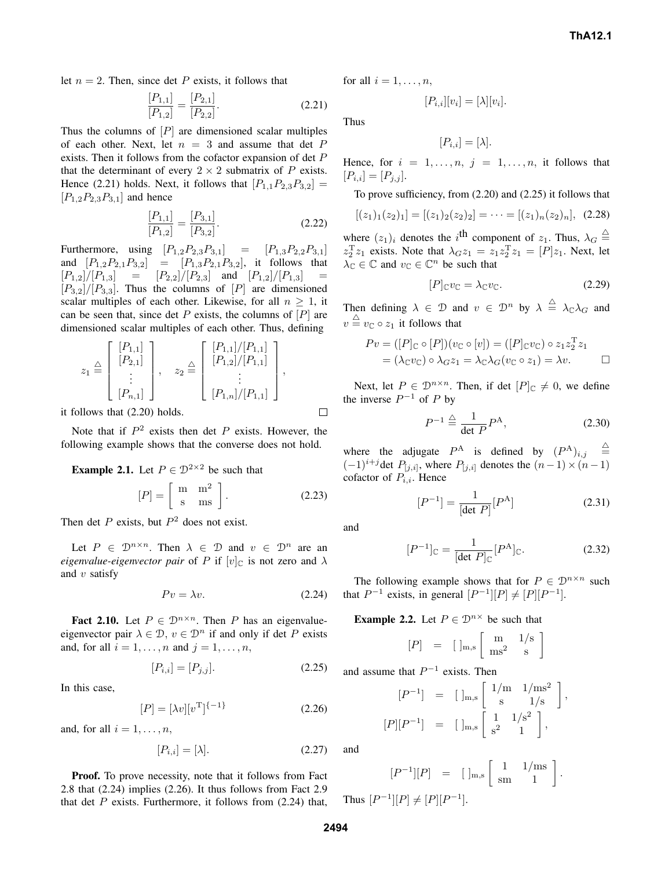let  $n = 2$ . Then, since det P exists, it follows that

$$
\frac{[P_{1,1}]}{[P_{1,2}]} = \frac{[P_{2,1}]}{[P_{2,2}]}.
$$
\n(2.21)

Thus the columns of  $[P]$  are dimensioned scalar multiples of each other. Next, let  $n = 3$  and assume that det P exists. Then it follows from the cofactor expansion of det P that the determinant of every  $2 \times 2$  submatrix of P exists. Hence (2.21) holds. Next, it follows that  $[P_{1,1}P_{2,3}P_{3,2}] =$  $[P_{1,2}P_{2,3}P_{3,1}]$  and hence

$$
\frac{[P_{1,1}]}{[P_{1,2}]} = \frac{[P_{3,1}]}{[P_{3,2}]}.
$$
\n(2.22)

Furthermore, using  $[P_{1,2}P_{2,3}P_{3,1}] = [P_{1,3}P_{2,2}P_{3,1}]$ and  $[P_{1,2}P_{2,1}P_{3,2}] = [P_{1,3}P_{2,1}P_{3,2}],$  it follows that  $[P_{1,2}]/[P_{1,3}] = [P_{2,2}]/[P_{2,3}]$  and  $[P_{1,2}]/[P_{1,3}]$  $[P_{3,2}]/[P_{3,3}]$ . Thus the columns of  $[P]$  are dimensioned scalar multiples of each other. Likewise, for all  $n \geq 1$ , it can be seen that, since det  $P$  exists, the columns of  $[P]$  are dimensioned scalar multiples of each other. Thus, defining

$$
z_1 \stackrel{\triangle}{=} \begin{bmatrix} [P_{1,1}] \\ [P_{2,1}] \\ \vdots \\ [P_{n,1}] \end{bmatrix}, \quad z_2 \stackrel{\triangle}{=} \begin{bmatrix} [P_{1,1}]/[P_{1,1}] \\ [P_{1,2}]/[P_{1,1}] \\ \vdots \\ [P_{1,n}]/[P_{1,1}] \end{bmatrix},
$$

it follows that (2.20) holds.

Note that if  $P^2$  exists then det P exists. However, the following example shows that the converse does not hold.

**Example 2.1.** Let  $P \in \mathbb{D}^{2 \times 2}$  be such that

$$
[P] = \left[ \begin{array}{cc} m & m^2 \\ s & ms \end{array} \right].
$$
 (2.23)

Then det  $P$  exists, but  $P<sup>2</sup>$  does not exist.

Let  $P \in \mathcal{D}^{n \times n}$ . Then  $\lambda \in \mathcal{D}$  and  $v \in \mathcal{D}^n$  are an *eigenvalue-eigenvector pair* of P if  $[v]_C$  is not zero and  $\lambda$ and  $v$  satisfy

$$
Pv = \lambda v. \tag{2.24}
$$

**Fact 2.10.** Let  $P \in \mathbb{D}^{n \times n}$ . Then P has an eigenvalueeigenvector pair  $\lambda \in \mathcal{D}$ ,  $v \in \mathcal{D}^n$  if and only if det P exists and, for all  $i = 1, \ldots, n$  and  $j = 1, \ldots, n$ ,

$$
[P_{i,i}] = [P_{j,j}]. \t(2.25)
$$

In this case,

$$
[P] = [\lambda v][v^{\mathrm{T}}]^{\{-1\}} \tag{2.26}
$$

and, for all  $i = 1, \ldots, n$ ,

$$
[P_{i,i}] = [\lambda]. \tag{2.27}
$$

**Proof.** To prove necessity, note that it follows from Fact 2.8 that (2.24) implies (2.26). It thus follows from Fact 2.9 that det  $P$  exists. Furthermore, it follows from  $(2.24)$  that,

for all  $i = 1, \ldots, n$ ,

$$
[P_{i,i}][v_i] = [\lambda][v_i].
$$

Thus

$$
[P_{i,i}] = [\lambda].
$$

Hence, for  $i = 1, \ldots, n, j = 1, \ldots, n$ , it follows that  $[P_{i,i}] = [P_{j,j}].$ 

To prove sufficiency, from (2.20) and (2.25) it follows that

$$
[(z1)1(z2)1] = [(z1)2(z2)2] = \cdots = [(z1)n(z2)n], (2.28)
$$

where  $(z_1)_i$  denotes the i<sup>th</sup> component of  $z_1$ . Thus,  $\lambda_G \stackrel{\triangle}{=}$  $z_2^T z_1$  exists. Note that  $\lambda_G z_1 = z_1 z_2^T z_1 = [P] z_1$ . Next, let  $\lambda_{\mathbb{C}} \in \mathbb{C}$  and  $v_{\mathbb{C}} \in \mathbb{C}^n$  be such that

$$
[P]_{\mathbb{C}}v_{\mathbb{C}} = \lambda_{\mathbb{C}}v_{\mathbb{C}}.\tag{2.29}
$$

Then defining  $\lambda \in \mathcal{D}$  and  $v \in \mathcal{D}^n$  by  $\lambda \stackrel{\triangle}{=} \lambda_{\mathbb{C}} \lambda_G$  and  $v \triangleq v_{\mathbb{C}} \circ z_1$  it follows that

$$
Pv = ([P]_{\mathbb{C}} \circ [P])(v_{\mathbb{C}} \circ [v]) = ([P]_{\mathbb{C}}v_{\mathbb{C}}) \circ z_1 z_2^{\mathbb{T}} z_1
$$
  
=  $(\lambda_{\mathbb{C}}v_{\mathbb{C}}) \circ \lambda_G z_1 = \lambda_{\mathbb{C}} \lambda_G (v_{\mathbb{C}} \circ z_1) = \lambda v.$ 

Next, let  $P \in \mathcal{D}^{n \times n}$ . Then, if det  $[P]_{\mathbb{C}} \neq 0$ , we define the inverse  $P^{-1}$  of P by

$$
P^{-1} \stackrel{\triangle}{=} \frac{1}{\det P} P^{\mathcal{A}},\tag{2.30}
$$

where the adjugate  $P^{\text{A}}$  is defined by  $(P^{\text{A}})_{i,j}$   $\triangleq$  $(-1)^{i+j}$ det  $P_{[j,i]}$ , where  $P_{[j,i]}$  denotes the  $(n-1) \times (n-1)$ cofactor of  $P_{i,i}$ . Hence

$$
[P^{-1}] = \frac{1}{[\det P]} [P^{\text{A}}]
$$
 (2.31)

and

 $\Box$ 

$$
[P^{-1}]_{\mathbb{C}} = \frac{1}{[\det P]_{\mathbb{C}}} [P^{A}]_{\mathbb{C}}.
$$
 (2.32)

The following example shows that for  $P \in \mathcal{D}^{n \times n}$  such that  $P^{-1}$  exists, in general  $[P^{-1}][P] \neq [P][P^{-1}]$ .

**Example 2.2.** Let  $P \in \mathbb{D}^{n \times}$  be such that

$$
[P] = [\ ]_{m,s} \left[ \begin{array}{cc} m & 1/s \\ ms^2 & s \end{array} \right]
$$

and assume that  $P^{-1}$  exists. Then

$$
[P^{-1}] = [\ ]_{\text{m},\text{s}} \left[ \begin{array}{cc} 1/\text{m} & 1/\text{m}\text{s}^2 \\ \text{s} & 1/\text{s} \end{array} \right],
$$
  

$$
[P][P^{-1}] = [\ ]_{\text{m},\text{s}} \left[ \begin{array}{cc} 1 & 1/\text{s}^2 \\ \text{s}^2 & 1 \end{array} \right],
$$

and

$$
[P^{-1}][P] = [\ ]_{\text{m,s}} \left[ \begin{array}{cc} 1 & 1/\text{ms} \\ \text{sm} & 1 \end{array} \right].
$$

Thus  $[P^{-1}][P] \neq [P][P^{-1}]$ .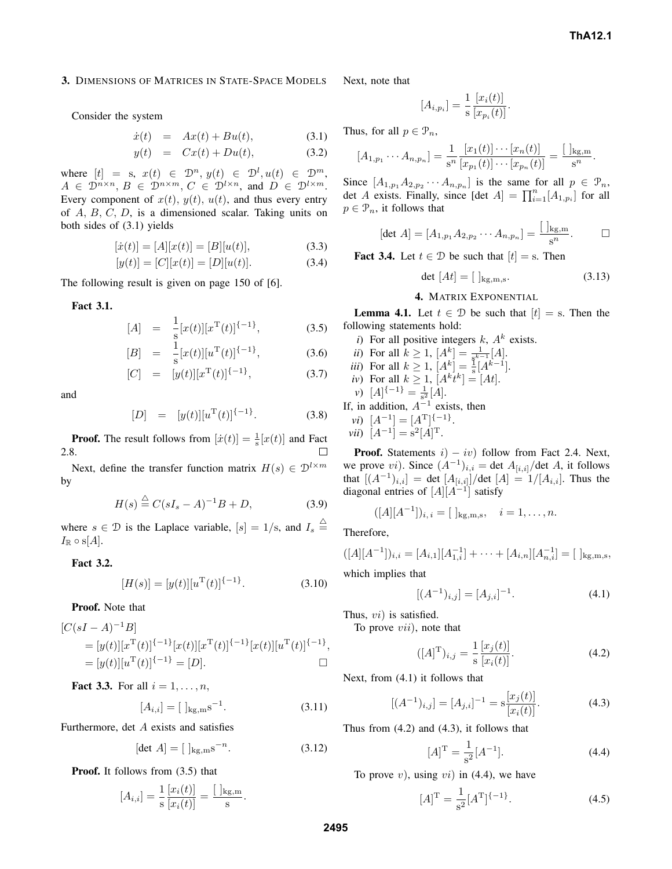#### **3.** DIMENSIONS OF MATRICES IN STATE-SPACE MODELS

Consider the system

$$
\dot{x}(t) = Ax(t) + Bu(t), \qquad (3.1)
$$

$$
y(t) = Cx(t) + Du(t), \qquad (3.2)
$$

where  $[t] = s, x(t) \in \mathcal{D}^n, y(t) \in \mathcal{D}^l, u(t) \in \mathcal{D}^m,$  $A \in \mathcal{D}^{n \times n}, B \in \mathcal{D}^{n \times m}, C \in \mathcal{D}^{l \times n}, \text{ and } D \in \mathcal{D}^{l \times m}.$ Every component of  $x(t)$ ,  $y(t)$ ,  $u(t)$ , and thus every entry of A, B, C, D, is a dimensioned scalar. Taking units on both sides of (3.1) yields

$$
[\dot{x}(t)] = [A][x(t)] = [B][u(t)], \qquad (3.3)
$$

$$
[y(t)] = [C][x(t)] = [D][u(t)].
$$
\n(3.4)

The following result is given on page 150 of [6].

**Fact 3.1.**

$$
[A] = \frac{1}{s} [x(t)][x^{\mathrm{T}}(t)]^{\{-1\}}, \tag{3.5}
$$

$$
[B] = \frac{1}{s} [x(t)][u^{\mathrm{T}}(t)]^{\{-1\}}, \tag{3.6}
$$

[C] = 
$$
[y(t)][x^{\mathrm{T}}(t)]^{\{-1\}},
$$
 (3.7)

and

$$
[D] = [y(t)][u^{T}(t)]^{\{-1\}}.
$$
 (3.8)

**Proof.** The result follows from  $[\dot{x}(t)] = \frac{1}{s}[x(t)]$  and Fact 2.8. □

Next, define the transfer function matrix  $H(s) \in \mathcal{D}^{l \times m}$ by

$$
H(s) \stackrel{\triangle}{=} C(sI_s - A)^{-1}B + D,\tag{3.9}
$$

where  $s \in \mathcal{D}$  is the Laplace variable,  $[s] = 1/s$ , and  $I_s \triangleq$  $I_{\mathbb{R}} \circ$  s[A].

## **Fact 3.2.**

$$
[H(s)] = [y(t)][uT(t)]^{\{-1\}}.
$$
\n(3.10)

**Proof.** Note that

$$
[C(sI - A)^{-1}B] = [y(t)][x^{\mathrm{T}}(t)]^{\{-1\}}[x(t)][x^{\mathrm{T}}(t)]^{\{-1\}}[x(t)][u^{\mathrm{T}}(t)]^{\{-1\}},
$$
  
= [y(t)][u^{\mathrm{T}}(t)]^{\{-1\}} = [D]. \square

**Fact** 3.3. For all  $i = 1, ..., n$ ,

$$
[A_{i,i}] = [\ ]_{\text{kg,m}} \text{s}^{-1}.
$$
 (3.11)

Furthermore, det A exists and satisfies

$$
[det A] = [ ]_{\text{kg,m}} \text{s}^{-n}.
$$
 (3.12)

**Proof.** It follows from (3.5) that

$$
[A_{i,i}] = \frac{1}{s} \frac{[x_i(t)]}{[x_i(t)]} = \frac{[]_{\text{kg,m}}}{s}.
$$

Next, note that

$$
[A_{i,p_i}] = \frac{1}{s} \frac{[x_i(t)]}{[x_{p_i}(t)]}
$$

Thus, for all  $p \in \mathcal{P}_n$ ,

$$
[A_{1,p_1}\cdots A_{n,p_n}]=\frac{1}{s^n}\frac{[x_1(t)]\cdots[x_n(t)]}{[x_{p_1}(t)]\cdots[x_{p_n}(t)]}=\frac{[\ ]_{\mathrm{kg,m}}}{s^n}.
$$

Since  $[A_{1,p_1}A_{2,p_2}\cdots A_{n,p_n}]$  is the same for all  $p \in \mathcal{P}_n$ , det A exists. Finally, since  $[\det A] = \prod_{i=1}^{n} [A_{1,p_i}]$  for all  $p \in \mathcal{P}_n$ , it follows that

$$
[\det A] = [A_{1,p_1} A_{2,p_2} \cdots A_{n,p_n}] = \frac{\left[ \; \right]_{\text{kg,m}}}{s^n}.
$$

.

**Fact 3.4.** Let  $t \in \mathcal{D}$  be such that  $[t] = s$ . Then

$$
\det\left[At\right] = \left[\right]_{\text{kg,m,s}}.\tag{3.13}
$$

# **4.** MATRIX EXPONENTIAL

**Lemma 4.1.** Let  $t \in \mathcal{D}$  be such that  $[t] =$  s. Then the following statements hold:

*i*) For all positive integers  $k$ ,  $A<sup>k</sup>$  exists.

.

*ii)* For all 
$$
k \ge 1
$$
,  $[A^k] = \frac{1}{8^{k-1}}[A]$ .

*iii)* For all 
$$
k \ge 1
$$
,  $[A^k] = \frac{1}{s} [A^{k-1}]$ .

iv) For all 
$$
k \ge 1
$$
,  $[A^k t^k] = [At]$ .

*v*)  $[A]^{{-1}} = \frac{1}{s^2} [A].$ 

If, in addition,  $A^{-1}$  exists, then

$$
vi) \ \ [A^{-1}] = [A^{T}]^{\{-1\}}
$$

*vii*)  $[A^{-1}] = s^2[A]^T$ .

**Proof.** Statements  $i$ ) −  $iv$ ) follow from Fact 2.4. Next, we prove vi). Since  $(A^{-1})_{i,i} = \det A_{[i,i]}/\det A$ , it follows that  $[(A^{-1})_{i,i}] = \det [A_{[i,i]}]/\det [A] = 1/[A_{i,i}].$  Thus the diagonal entries of  $[A][A^{-1}]$  satisfy

$$
([A][A^{-1}])_{i, i} = [ ]_{\text{kg,m,s}}, \quad i = 1, \dots, n.
$$

Therefore,

$$
([A][A^{-1}])_{i,i} = [A_{i,1}][A_{1,i}^{-1}] + \cdots + [A_{i,n}][A_{n,i}^{-1}] = [\ ]_{\text{kg,m,s}},
$$

which implies that

$$
[(A^{-1})_{i,j}] = [A_{j,i}]^{-1}.
$$
\n(4.1)

Thus, vi) is satisfied.

To prove *vii*), note that

$$
([A]^{\mathrm{T}})_{i,j} = \frac{1}{\mathrm{s}} \frac{[x_j(t)]}{[x_i(t)]}.
$$
 (4.2)

Next, from (4.1) it follows that

$$
[(A^{-1})_{i,j}] = [A_{j,i}]^{-1} = s \frac{[x_j(t)]}{[x_i(t)]}.
$$
 (4.3)

Thus from (4.2) and (4.3), it follows that

$$
[A]^{\mathrm{T}} = \frac{1}{s^2} [A^{-1}]. \tag{4.4}
$$

To prove  $v$ ), using  $vi$ ) in (4.4), we have

$$
[A]^{\mathrm{T}} = \frac{1}{s^2} [A^{\mathrm{T}}]^{(-1)}.
$$
 (4.5)